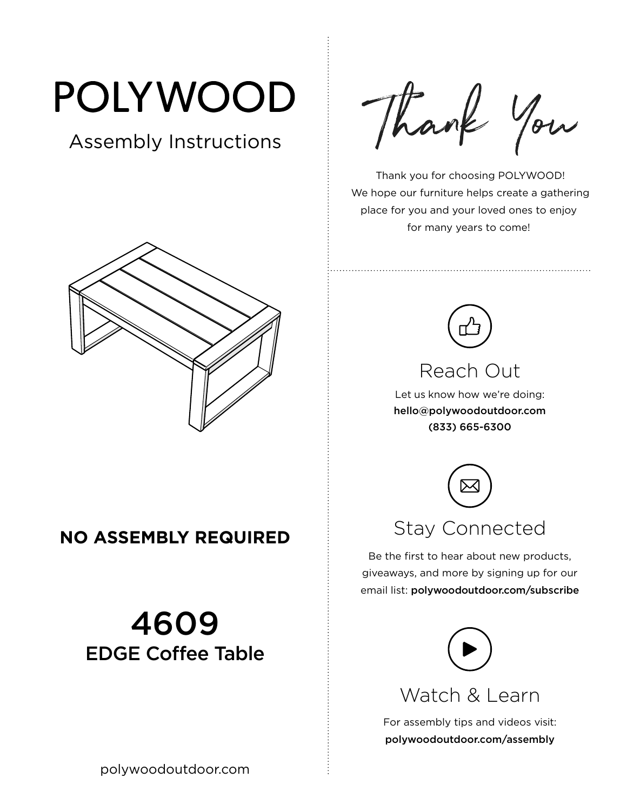# POLYWOOD

## Assembly Instructions



#### **NO ASSEMBLY REQUIRED**

## 4609 EDGE Coffee Table

Thank You

 Thank you for choosing POLYWOOD! We hope our furniture helps create a gathering place for you and your loved ones to enjoy for many years to come!



#### Reach Out

Let us know how we're doing: hello@polywoodoutdoor.com (833) 665-6300



Be the first to hear about new products, giveaways, and more by signing up for our email list: polywoodoutdoor.com/subscribe



Watch & Learn

For assembly tips and videos visit: polywoodoutdoor.com/assembly

polywoodoutdoor.com